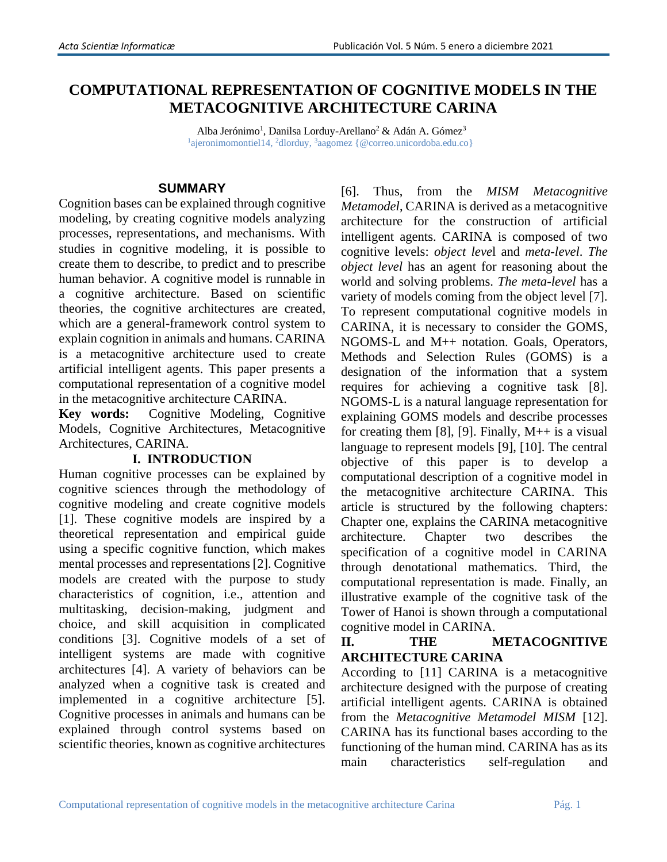# **COMPUTATIONAL REPRESENTATION OF COGNITIVE MODELS IN THE METACOGNITIVE ARCHITECTURE CARINA**

Alba Jerónimo<sup>1</sup>, Danilsa Lorduy-Arellano<sup>2</sup> & Adán A. Gómez<sup>3</sup> <sup>1</sup>ajeronimomontiel14, <sup>2</sup>dlorduy, <sup>3</sup>aagomez { @correo.unicordoba.edu.co}

## **SUMMARY**

Cognition bases can be explained through cognitive modeling, by creating cognitive models analyzing processes, representations, and mechanisms. With studies in cognitive modeling, it is possible to create them to describe, to predict and to prescribe human behavior. A cognitive model is runnable in a cognitive architecture. Based on scientific theories, the cognitive architectures are created, which are a general-framework control system to explain cognition in animals and humans. CARINA is a metacognitive architecture used to create artificial intelligent agents. This paper presents a computational representation of a cognitive model in the metacognitive architecture CARINA.

**Key words:** Cognitive Modeling, Cognitive Models, Cognitive Architectures, Metacognitive Architectures, CARINA.

# **I. INTRODUCTION**

Human cognitive processes can be explained by cognitive sciences through the methodology of cognitive modeling and create cognitive models [1]. These cognitive models are inspired by a theoretical representation and empirical guide using a specific cognitive function, which makes mental processes and representations [2]. Cognitive models are created with the purpose to study characteristics of cognition, i.e., attention and multitasking, decision-making, judgment and choice, and skill acquisition in complicated conditions [3]. Cognitive models of a set of intelligent systems are made with cognitive architectures [4]. A variety of behaviors can be analyzed when a cognitive task is created and implemented in a cognitive architecture [5]. Cognitive processes in animals and humans can be explained through control systems based on scientific theories, known as cognitive architectures

[6]. Thus, from the *MISM Metacognitive Metamodel*, CARINA is derived as a metacognitive architecture for the construction of artificial intelligent agents. CARINA is composed of two cognitive levels: *object leve*l and *meta-level*. *The object level* has an agent for reasoning about the world and solving problems. *The meta-level* has a variety of models coming from the object level [7]. To represent computational cognitive models in CARINA, it is necessary to consider the GOMS, NGOMS-L and M++ notation. Goals, Operators, Methods and Selection Rules (GOMS) is a designation of the information that a system requires for achieving a cognitive task [8]. NGOMS-L is a natural language representation for explaining GOMS models and describe processes for creating them [8], [9]. Finally,  $M++$  is a visual language to represent models [9], [10]. The central objective of this paper is to develop a computational description of a cognitive model in the metacognitive architecture CARINA. This article is structured by the following chapters: Chapter one, explains the CARINA metacognitive architecture. Chapter two describes the specification of a cognitive model in CARINA through denotational mathematics. Third, the computational representation is made. Finally, an illustrative example of the cognitive task of the Tower of Hanoi is shown through a computational cognitive model in CARINA.

# **II. THE METACOGNITIVE ARCHITECTURE CARINA**

According to [11] CARINA is a metacognitive architecture designed with the purpose of creating artificial intelligent agents. CARINA is obtained from the *Metacognitive Metamodel MISM* [12]. CARINA has its functional bases according to the functioning of the human mind. CARINA has as its main characteristics self-regulation and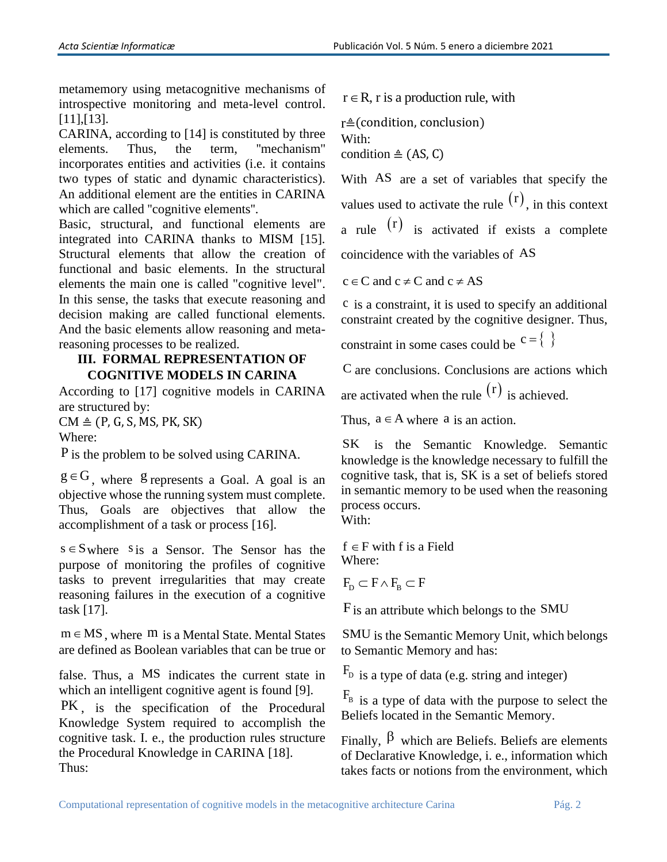metamemory using metacognitive mechanisms of introspective monitoring and meta-level control. [11],[13].

CARINA, according to [14] is constituted by three elements. Thus, the term, ''mechanism'' incorporates entities and activities (i.e. it contains two types of static and dynamic characteristics). An additional element are the entities in CARINA which are called ''cognitive elements''.

Basic, structural, and functional elements are integrated into CARINA thanks to MISM [15]. Structural elements that allow the creation of functional and basic elements. In the structural elements the main one is called "cognitive level". In this sense, the tasks that execute reasoning and decision making are called functional elements. And the basic elements allow reasoning and metareasoning processes to be realized.

## **III. FORMAL REPRESENTATION OF COGNITIVE MODELS IN CARINA**

According to [17] cognitive models in CARINA are structured by:

 $CM \triangleq (P, G, S, MS, PK, SK)$ Where:

 $P$  is the problem to be solved using CARINA.

 $g \in G$ , where g represents a Goal. A goal is an objective whose the running system must complete. Thus, Goals are objectives that allow the accomplishment of a task or process [16].

 $s \in S$  where s is a Sensor. The Sensor has the purpose of monitoring the profiles of cognitive tasks to prevent irregularities that may create reasoning failures in the execution of a cognitive task [17].

 $m \in MS$ , where  $m$  is a Mental State. Mental States are defined as Boolean variables that can be true or

false. Thus, a MS indicates the current state in which an intelligent cognitive agent is found [9].

PK , is the specification of the Procedural Knowledge System required to accomplish the cognitive task. I. e., the production rules structure the Procedural Knowledge in CARINA [18]. Thus:

 $r \in R$ , r is a production rule, with

r≜(condition, conclusion) With: condition  $\triangleq$  (AS, C)

With AS are a set of variables that specify the values used to activate the rule  $(r)$ , in this context a rule  $(r)$  is activated if exists a complete coincidence with the variables of AS

 $c \in C$  and  $c \neq C$  and  $c \neq AS$ 

c is a constraint, it is used to specify an additional constraint created by the cognitive designer. Thus,

constraint in some cases could be  $c = \{ \}$ 

C are conclusions. Conclusions are actions which

are activated when the rule  $(r)$  is achieved.

Thus,  $a \in A$  where a is an action.

SK is the Semantic Knowledge. Semantic knowledge is the knowledge necessary to fulfill the cognitive task, that is, SK is a set of beliefs stored in semantic memory to be used when the reasoning process occurs.

With:

 $f \in F$  with f is a Field Where:

 $F_{\scriptscriptstyle{\rm D}} \subset F \wedge F_{\scriptscriptstyle{\rm B}} \subset F$ 

F is an attribute which belongs to the SMU

SMU is the Semantic Memory Unit, which belongs to Semantic Memory and has:

 $F_D$  is a type of data (e.g. string and integer)

 $F_B$  is a type of data with the purpose to select the Beliefs located in the Semantic Memory.

Finally,  $\beta$  which are Beliefs. Beliefs are elements of Declarative Knowledge, i. e., information which takes facts or notions from the environment, which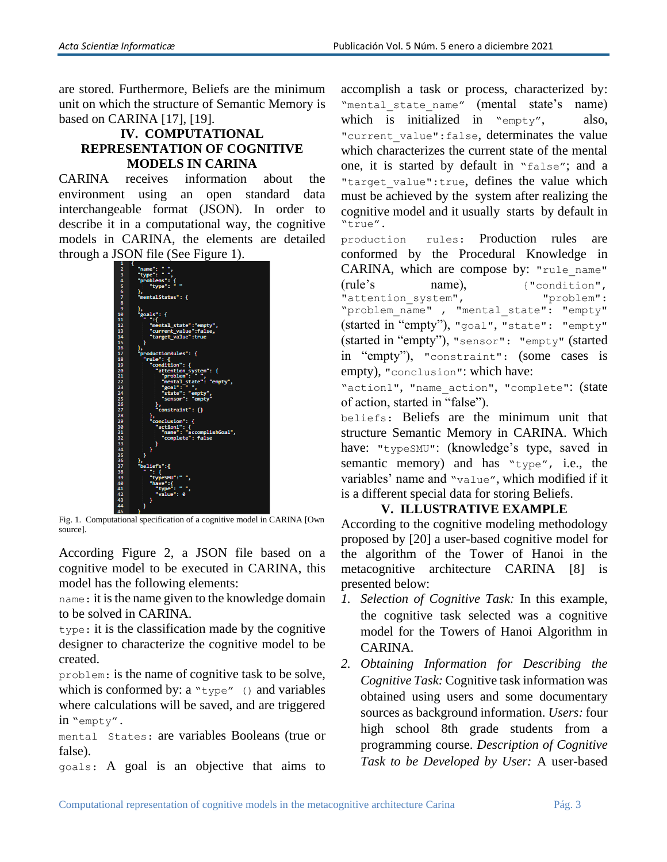are stored. Furthermore, Beliefs are the minimum unit on which the structure of Semantic Memory is based on CARINA [17], [19].

## **IV. COMPUTATIONAL REPRESENTATION OF COGNITIVE MODELS IN CARINA**

CARINA receives information about the environment using an open standard data interchangeable format (JSON). In order to describe it in a computational way, the cognitive models in CARINA, the elements are detailed through a JSON file (See Figure 1).



Fig. 1. Computational specification of a cognitive model in CARINA [Own source].

According Figure 2, a JSON file based on a cognitive model to be executed in CARINA, this model has the following elements:

name: it is the name given to the knowledge domain to be solved in CARINA.

type: it is the classification made by the cognitive designer to characterize the cognitive model to be created.

problem: is the name of cognitive task to be solve, which is conformed by:  $a "type"$  () and variables where calculations will be saved, and are triggered in "empty".

mental States: are variables Booleans (true or false).

goals: A goal is an objective that aims to

accomplish a task or process, characterized by: "mental state name" (mental state's name) which is initialized in "empty", also, "current value": false, determinates the value which characterizes the current state of the mental one, it is started by default in "false"; and a "target value":true, defines the value which must be achieved by the system after realizing the cognitive model and it usually starts by default in "true".

production rules: Production rules are conformed by the Procedural Knowledge in CARINA, which are compose by: "rule name" (rule's name), {"condition", "attention system", "problem": "problem\_name" , "mental\_state": "empty" (started in "empty"), "goal", "state": "empty" (started in "empty"), "sensor": "empty" (started in "empty"), "constraint": (some cases is empty), "conclusion": which have:

"action1", "name action", "complete": (state of action, started in "false").

beliefs: Beliefs are the minimum unit that structure Semantic Memory in CARINA. Which have: "typeSMU": (knowledge's type, saved in semantic memory) and has "type", i.e., the variables' name and "value", which modified if it is a different special data for storing Beliefs.

## **V. ILLUSTRATIVE EXAMPLE**

According to the cognitive modeling methodology proposed by [20] a user-based cognitive model for the algorithm of the Tower of Hanoi in the metacognitive architecture CARINA [8] is presented below:

- *1. Selection of Cognitive Task:* In this example, the cognitive task selected was a cognitive model for the Towers of Hanoi Algorithm in CARINA.
- *2. Obtaining Information for Describing the Cognitive Task:* Cognitive task information was obtained using users and some documentary sources as background information. *Users:* four high school 8th grade students from a programming course. *Description of Cognitive Task to be Developed by User:* A user-based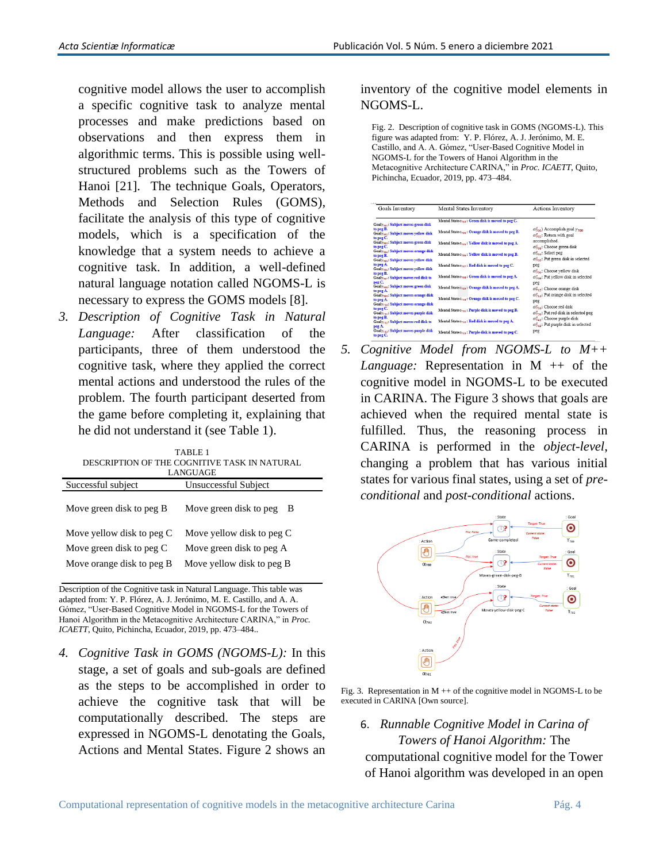cognitive model allows the user to accomplish a specific cognitive task to analyze mental processes and make predictions based on observations and then express them in algorithmic terms. This is possible using wellstructured problems such as the Towers of Hanoi [21]. The technique Goals, Operators, Methods and Selection Rules (GOMS), facilitate the analysis of this type of cognitive models, which is a specification of the knowledge that a system needs to achieve a cognitive task. In addition, a well-defined natural language notation called NGOMS-L is necessary to express the GOMS models [8].

*3. Description of Cognitive Task in Natural Language:* After classification of the participants, three of them understood the cognitive task, where they applied the correct mental actions and understood the rules of the problem. The fourth participant deserted from the game before completing it, explaining that he did not understand it (see Table 1).

| TABLE <sub>1</sub><br>DESCRIPTION OF THE COGNITIVE TASK IN NATURAL<br>LANGUAGE |                              |  |
|--------------------------------------------------------------------------------|------------------------------|--|
| Successful subject                                                             | Unsuccessful Subject         |  |
| Move green disk to peg B                                                       | Move green disk to peg<br>-В |  |
| Move yellow disk to peg C                                                      | Move yellow disk to peg C    |  |
| Move green disk to peg C                                                       | Move green disk to peg A     |  |
| Move orange disk to peg B                                                      | Move yellow disk to peg B    |  |

Description of the Cognitive task in Natural Language. This table was adapted from: Y. P. Flórez, A. J. Jerónimo, M. E. Castillo, and A. A. Gómez, "User-Based Cognitive Model in NGOMS-L for the Towers of Hanoi Algorithm in the Metacognitive Architecture CARINA," in *Proc. ICAETT*, Quito, Pichincha, Ecuador, 2019, pp. 473–484..

*4. Cognitive Task in GOMS (NGOMS-L):* In this stage, a set of goals and sub-goals are defined as the steps to be accomplished in order to achieve the cognitive task that will be computationally described. The steps are expressed in NGOMS-L denotating the Goals, Actions and Mental States. Figure 2 shows an inventory of the cognitive model elements in NGOMS-L.

Fig. 2. Description of cognitive task in GOMS (NGOMS-L). This figure was adapted from: Y. P. Flórez, A. J. Jerónimo, M. E. Castillo, and A. A. Gómez, "User-Based Cognitive Model in NGOMS-L for the Towers of Hanoi Algorithm in the Metacognitive Architecture CARINA," in *Proc. ICAETT*, Quito, Pichincha, Ecuador, 2019, pp. 473–484.

| Goals Inventory                                                                                                   | Mental States Inventory                                       | Actions Inventory                                                                                                                                    |
|-------------------------------------------------------------------------------------------------------------------|---------------------------------------------------------------|------------------------------------------------------------------------------------------------------------------------------------------------------|
| Goaly <sub>701</sub> : Subject moves green disk                                                                   | Mental Stateo <sub>rm</sub> : Green disk is moved to peg C.   |                                                                                                                                                      |
| to peg B.<br>Goaly <sub>702</sub> : Subject moves yellow disk                                                     | Mental Stateo <sub>na</sub> : Orange disk is moved to peg B.  | $\alpha_{200}^{\rm c}$ ) Accomplish goal $\nu_{200}$<br>$\alpha_{202}^c$ : Return with goal<br>accomplished.<br>$\alpha_{702}^c$ : Choose green disk |
| to peg C.<br>Goaly <sub>703</sub> : Subject moves green disk<br>to peg C.                                         | Mental State o <sub>rm</sub> : Yellow disk is moved to peg A. |                                                                                                                                                      |
| Goaly <sub>704</sub> : Subject moves orange disk<br>to peg B.<br>Goaly <sub>zas</sub> : Subject moves vellow disk | Mental State Cross: Yellow disk is moved to peg B.            | $\alpha_{\text{rad}}^{\text{c}}$ : Select peg<br>$\alpha_{\text{res}}^c$ : Put green disk in selected                                                |
| to peg A.<br>Goaly <sub>706</sub> : Subject moves yellow disk                                                     | Mental State <sub>797</sub> : Red disk is moved to peg C.     | peg<br>$\alpha_{206}^c$ : Choose yellow disk                                                                                                         |
| to peg B.<br>Goaly <sub>707</sub> : Subject moves red disk to<br>peg C.                                           | Mental State G <sub>708</sub> : Green disk is moved to peg A. | $\alpha_{\text{res}}^c$ : Put vellow disk in selected<br>peg                                                                                         |
| Goaly <sub>708</sub> : Subject moves green disk<br>to peg A.<br>Goaly <sub>zos</sub> : Subject moves orange disk  | Mental State <sub>709</sub> : Orange disk is moved to peg A.  | $\alpha_{212}^c$ : Choose orange disk<br>$\alpha$ <sup>2</sup> <sub>1</sub> ,: Put orange disk in selected                                           |
| to peg A.<br>Goaly <sub>710</sub> : Subject moves orange disk                                                     | Mental State <sub>710</sub> : Orange disk is moved to peg C.  | peg<br>$\alpha_{\text{tot}}^c$ : Choose red disk                                                                                                     |
| to peg C.<br>Goaly <sub>711</sub> : Subject moves purple disk<br>to peg B.                                        | Mental State <sub>711</sub> : Purple disk is moved to peg B.  | $\alpha_{2n}^c$ : Put red disk in selected peg                                                                                                       |
| Goaly <sub>712</sub> : Subject moves red disk to<br>peg A.                                                        | Mental State $\sigma_{712}$ : Red disk is moved to peg A.     | $\alpha_{241}^c$ : Choose purple disk<br>$\alpha_{2+1}^c$ : Put purple disk in selected                                                              |
| Goaly <sub>713</sub> : Subject moves purple disk<br>to nea C.                                                     | Mental State <sub>713</sub> : Purple disk is moved to peg C.  | peg                                                                                                                                                  |

*5. Cognitive Model from NGOMS-L to M++ Language:* Representation in M ++ of the cognitive model in NGOMS-L to be executed in CARINA. The Figure 3 shows that goals are achieved when the required mental state is fulfilled. Thus, the reasoning process in CARINA is performed in the *object-level*, changing a problem that has various initial states for various final states, using a set of *preconditional* and *post-conditional* actions.



Fig. 3. Representation in  $M + \theta$  f the cognitive model in NGOMS-L to be executed in CARINA [Own source].

6. *Runnable Cognitive Model in Carina of Towers of Hanoi Algorithm:* The computational cognitive model for the Tower of Hanoi algorithm was developed in an open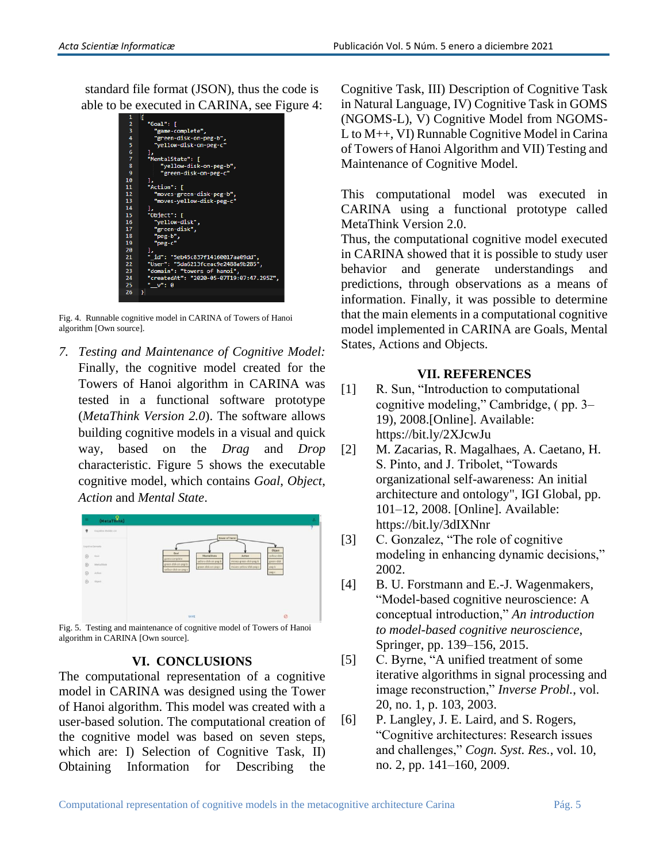standard file format (JSON), thus the code is able to be executed in CARINA, see Figure 4:



Fig. 4. Runnable cognitive model in CARINA of Towers of Hanoi algorithm [Own source].

*7. Testing and Maintenance of Cognitive Model:*  Finally, the cognitive model created for the Towers of Hanoi algorithm in CARINA was tested in a functional software prototype (*MetaThink Version 2.0*). The software allows building cognitive models in a visual and quick way, based on the *Drag* and *Drop* characteristic. Figure 5 shows the executable cognitive model, which contains *Goal*, *Object*, *Action* and *Mental State*.



Fig. 5. Testing and maintenance of cognitive model of Towers of Hanoi algorithm in CARINA [Own source].

## **VI. CONCLUSIONS**

The computational representation of a cognitive model in CARINA was designed using the Tower of Hanoi algorithm. This model was created with a user-based solution. The computational creation of the cognitive model was based on seven steps, which are: I) Selection of Cognitive Task, II) Obtaining Information for Describing the Cognitive Task, III) Description of Cognitive Task in Natural Language, IV) Cognitive Task in GOMS (NGOMS-L), V) Cognitive Model from NGOMS-L to M++, VI) Runnable Cognitive Model in Carina of Towers of Hanoi Algorithm and VII) Testing and Maintenance of Cognitive Model.

This computational model was executed in CARINA using a functional prototype called MetaThink Version 2.0.

Thus, the computational cognitive model executed in CARINA showed that it is possible to study user behavior and generate understandings and predictions, through observations as a means of information. Finally, it was possible to determine that the main elements in a computational cognitive model implemented in CARINA are Goals, Mental States, Actions and Objects.

## **VII. REFERENCES**

- [1] R. Sun, "Introduction to computational cognitive modeling," Cambridge, ( pp. 3– 19), 2008.[Online]. Available: https://bit.ly/2XJcwJu
- [2] M. Zacarias, R. Magalhaes, A. Caetano, H. S. Pinto, and J. Tribolet, "Towards organizational self-awareness: An initial architecture and ontology", IGI Global, pp. 101–12, 2008. [Online]. Available: https://bit.ly/3dIXNnr
- [3] C. Gonzalez, "The role of cognitive" modeling in enhancing dynamic decisions," 2002.
- [4] B. U. Forstmann and E.-J. Wagenmakers, "Model-based cognitive neuroscience: A conceptual introduction," *An introduction to model-based cognitive neuroscience*, Springer, pp. 139–156, 2015.
- [5] C. Byrne, "A unified treatment of some iterative algorithms in signal processing and image reconstruction," *Inverse Probl.*, vol. 20, no. 1, p. 103, 2003.
- [6] P. Langley, J. E. Laird, and S. Rogers, "Cognitive architectures: Research issues and challenges," *Cogn. Syst. Res.*, vol. 10, no. 2, pp. 141–160, 2009.